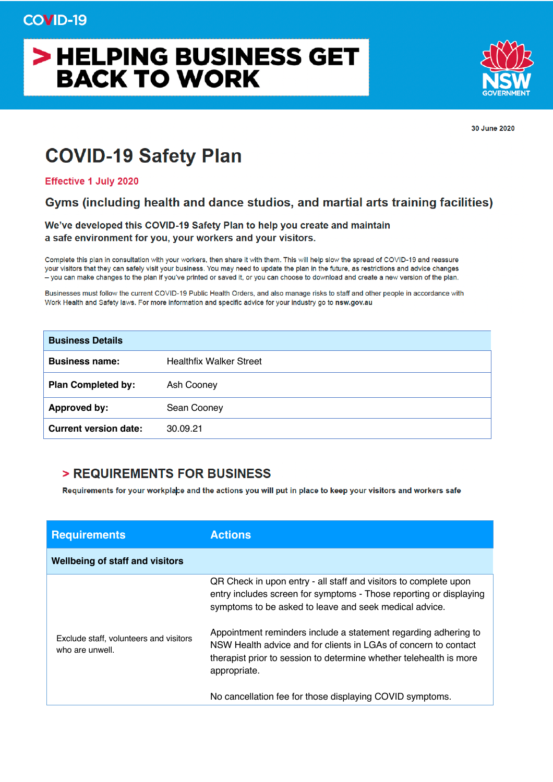# > HELPING BUSINESS GET **BACK TO WORK**



30 June 2020

## **COVID-19 Safety Plan**

**Effective 1 July 2020** 

#### Gyms (including health and dance studios, and martial arts training facilities)

We've developed this COVID-19 Safety Plan to help you create and maintain a safe environment for you, your workers and your visitors.

Complete this plan in consultation with your workers, then share it with them. This will help slow the spread of COVID-19 and reassure your visitors that they can safely visit your business. You may need to update the plan in the future, as restrictions and advice changes - you can make changes to the plan if you've printed or saved it, or you can choose to download and create a new version of the plan.

Businesses must follow the current COVID-19 Public Health Orders, and also manage risks to staff and other people in accordance with Work Health and Safety laws. For more information and specific advice for your industry go to nsw.gov.au

| <b>Business Details</b>      |                                |
|------------------------------|--------------------------------|
| <b>Business name:</b>        | <b>Healthfix Walker Street</b> |
| <b>Plan Completed by:</b>    | Ash Cooney                     |
| Approved by:                 | Sean Cooney                    |
| <b>Current version date:</b> | 30.09.21                       |

#### > REQUIREMENTS FOR BUSINESS

Requirements for your workplace and the actions you will put in place to keep your visitors and workers safe

| <b>Requirements</b>                    | <b>Actions</b>                                                                                                                                                                                                                                                      |
|----------------------------------------|---------------------------------------------------------------------------------------------------------------------------------------------------------------------------------------------------------------------------------------------------------------------|
| <b>Wellbeing of staff and visitors</b> |                                                                                                                                                                                                                                                                     |
| Exclude staff, volunteers and visitors | QR Check in upon entry - all staff and visitors to complete upon<br>entry includes screen for symptoms - Those reporting or displaying<br>symptoms to be asked to leave and seek medical advice.<br>Appointment reminders include a statement regarding adhering to |
| who are unwell.                        | NSW Health advice and for clients in LGAs of concern to contact<br>therapist prior to session to determine whether telehealth is more<br>appropriate.<br>No cancellation fee for those displaying COVID symptoms.                                                   |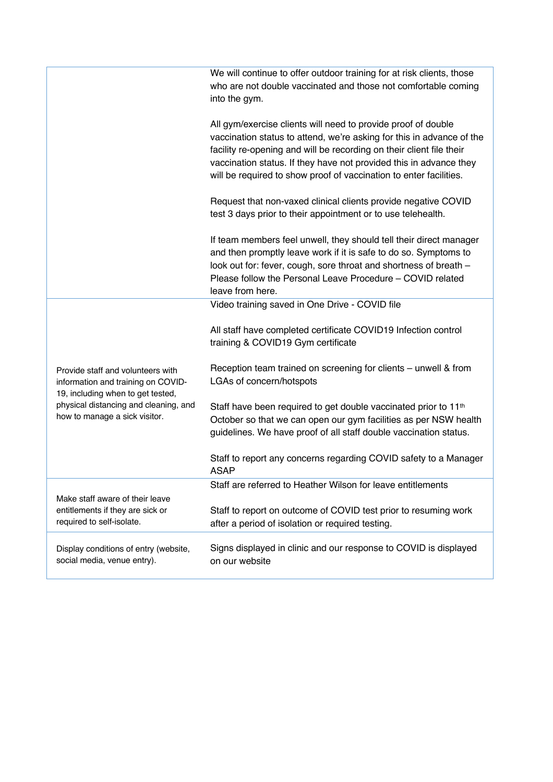|                                                                                                              | We will continue to offer outdoor training for at risk clients, those<br>who are not double vaccinated and those not comfortable coming<br>into the gym.                                                                                                                                                                                                   |
|--------------------------------------------------------------------------------------------------------------|------------------------------------------------------------------------------------------------------------------------------------------------------------------------------------------------------------------------------------------------------------------------------------------------------------------------------------------------------------|
|                                                                                                              | All gym/exercise clients will need to provide proof of double<br>vaccination status to attend, we're asking for this in advance of the<br>facility re-opening and will be recording on their client file their<br>vaccination status. If they have not provided this in advance they<br>will be required to show proof of vaccination to enter facilities. |
|                                                                                                              | Request that non-vaxed clinical clients provide negative COVID<br>test 3 days prior to their appointment or to use telehealth.                                                                                                                                                                                                                             |
|                                                                                                              | If team members feel unwell, they should tell their direct manager<br>and then promptly leave work if it is safe to do so. Symptoms to<br>look out for: fever, cough, sore throat and shortness of breath -<br>Please follow the Personal Leave Procedure - COVID related<br>leave from here.                                                              |
|                                                                                                              | Video training saved in One Drive - COVID file                                                                                                                                                                                                                                                                                                             |
|                                                                                                              | All staff have completed certificate COVID19 Infection control<br>training & COVID19 Gym certificate                                                                                                                                                                                                                                                       |
| Provide staff and volunteers with<br>information and training on COVID-<br>19, including when to get tested, | Reception team trained on screening for clients – unwell & from<br>LGAs of concern/hotspots                                                                                                                                                                                                                                                                |
| physical distancing and cleaning, and<br>how to manage a sick visitor.                                       | Staff have been required to get double vaccinated prior to 11 <sup>th</sup><br>October so that we can open our gym facilities as per NSW health<br>guidelines. We have proof of all staff double vaccination status.                                                                                                                                       |
|                                                                                                              | Staff to report any concerns regarding COVID safety to a Manager<br><b>ASAP</b>                                                                                                                                                                                                                                                                            |
|                                                                                                              | Staff are referred to Heather Wilson for leave entitlements                                                                                                                                                                                                                                                                                                |
| Make staff aware of their leave<br>entitlements if they are sick or<br>required to self-isolate.             | Staff to report on outcome of COVID test prior to resuming work<br>after a period of isolation or required testing.                                                                                                                                                                                                                                        |
| Display conditions of entry (website,<br>social media, venue entry).                                         | Signs displayed in clinic and our response to COVID is displayed<br>on our website                                                                                                                                                                                                                                                                         |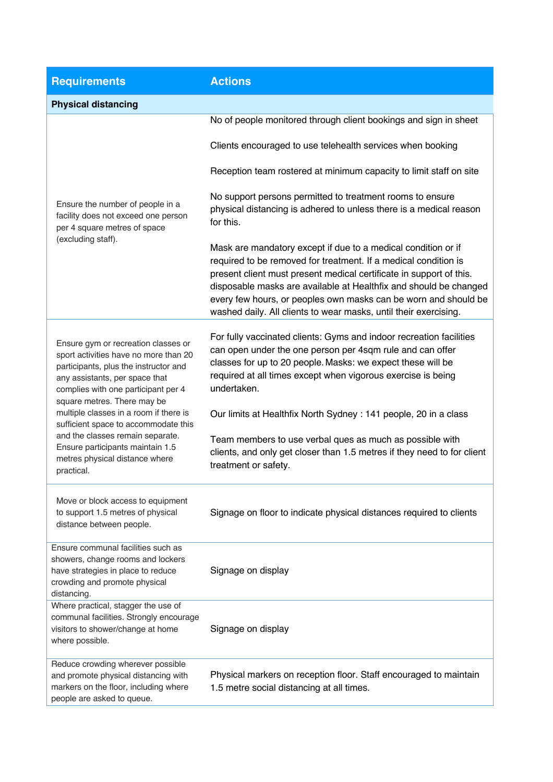| <b>Requirements</b>                                                                                                                                                                                                           | <b>Actions</b>                                                                                                                                                                                                                                                                                                                                                                                                      |  |  |
|-------------------------------------------------------------------------------------------------------------------------------------------------------------------------------------------------------------------------------|---------------------------------------------------------------------------------------------------------------------------------------------------------------------------------------------------------------------------------------------------------------------------------------------------------------------------------------------------------------------------------------------------------------------|--|--|
| <b>Physical distancing</b>                                                                                                                                                                                                    |                                                                                                                                                                                                                                                                                                                                                                                                                     |  |  |
|                                                                                                                                                                                                                               | No of people monitored through client bookings and sign in sheet<br>Clients encouraged to use telehealth services when booking                                                                                                                                                                                                                                                                                      |  |  |
|                                                                                                                                                                                                                               | Reception team rostered at minimum capacity to limit staff on site                                                                                                                                                                                                                                                                                                                                                  |  |  |
| Ensure the number of people in a<br>facility does not exceed one person<br>per 4 square metres of space                                                                                                                       | No support persons permitted to treatment rooms to ensure<br>physical distancing is adhered to unless there is a medical reason<br>for this.                                                                                                                                                                                                                                                                        |  |  |
| (excluding staff).                                                                                                                                                                                                            | Mask are mandatory except if due to a medical condition or if<br>required to be removed for treatment. If a medical condition is<br>present client must present medical certificate in support of this.<br>disposable masks are available at Healthfix and should be changed<br>every few hours, or peoples own masks can be worn and should be<br>washed daily. All clients to wear masks, until their exercising. |  |  |
| Ensure gym or recreation classes or<br>sport activities have no more than 20<br>participants, plus the instructor and<br>any assistants, per space that<br>complies with one participant per 4<br>square metres. There may be | For fully vaccinated clients: Gyms and indoor recreation facilities<br>can open under the one person per 4sqm rule and can offer<br>classes for up to 20 people. Masks: we expect these will be<br>required at all times except when vigorous exercise is being<br>undertaken.                                                                                                                                      |  |  |
| multiple classes in a room if there is<br>sufficient space to accommodate this<br>and the classes remain separate.<br>Ensure participants maintain 1.5<br>metres physical distance where                                      | Our limits at Healthfix North Sydney : 141 people, 20 in a class<br>Team members to use verbal ques as much as possible with<br>clients, and only get closer than 1.5 metres if they need to for client                                                                                                                                                                                                             |  |  |
| practical.<br>Move or block access to equipment                                                                                                                                                                               | treatment or safety.<br>Signage on floor to indicate physical distances required to clients                                                                                                                                                                                                                                                                                                                         |  |  |
| to support 1.5 metres of physical<br>distance between people.<br>Ensure communal facilities such as                                                                                                                           |                                                                                                                                                                                                                                                                                                                                                                                                                     |  |  |
| showers, change rooms and lockers<br>have strategies in place to reduce<br>crowding and promote physical<br>distancing.                                                                                                       | Signage on display                                                                                                                                                                                                                                                                                                                                                                                                  |  |  |
| Where practical, stagger the use of<br>communal facilities. Strongly encourage<br>visitors to shower/change at home<br>where possible.                                                                                        | Signage on display                                                                                                                                                                                                                                                                                                                                                                                                  |  |  |
| Reduce crowding wherever possible<br>and promote physical distancing with<br>markers on the floor, including where<br>people are asked to queue.                                                                              | Physical markers on reception floor. Staff encouraged to maintain<br>1.5 metre social distancing at all times.                                                                                                                                                                                                                                                                                                      |  |  |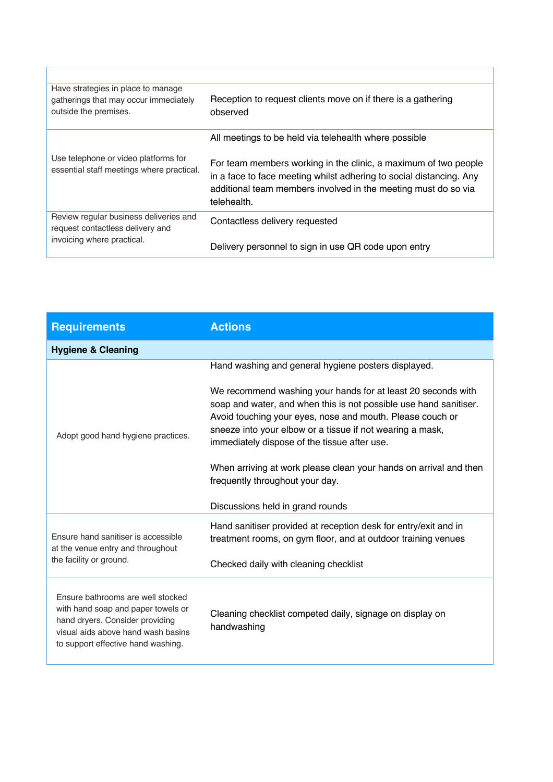| Have strategies in place to manage<br>gatherings that may occur immediately<br>outside the premises.     | Reception to request clients move on if there is a gathering<br>observed                                                                                                                                                |
|----------------------------------------------------------------------------------------------------------|-------------------------------------------------------------------------------------------------------------------------------------------------------------------------------------------------------------------------|
|                                                                                                          | All meetings to be held via telehealth where possible                                                                                                                                                                   |
| Use telephone or video platforms for<br>essential staff meetings where practical.                        | For team members working in the clinic, a maximum of two people<br>in a face to face meeting whilst adhering to social distancing. Any<br>additional team members involved in the meeting must do so via<br>telehealth. |
| Review regular business deliveries and<br>request contactless delivery and<br>invoicing where practical. | Contactless delivery requested                                                                                                                                                                                          |
|                                                                                                          | Delivery personnel to sign in use QR code upon entry                                                                                                                                                                    |

| <b>Requirements</b>                                                                                                                                                                    | <b>Actions</b>                                                                                                                                                                                                                                                                                              |
|----------------------------------------------------------------------------------------------------------------------------------------------------------------------------------------|-------------------------------------------------------------------------------------------------------------------------------------------------------------------------------------------------------------------------------------------------------------------------------------------------------------|
| <b>Hygiene &amp; Cleaning</b>                                                                                                                                                          |                                                                                                                                                                                                                                                                                                             |
|                                                                                                                                                                                        | Hand washing and general hygiene posters displayed.                                                                                                                                                                                                                                                         |
| Adopt good hand hygiene practices.                                                                                                                                                     | We recommend washing your hands for at least 20 seconds with<br>soap and water, and when this is not possible use hand sanitiser.<br>Avoid touching your eyes, nose and mouth. Please couch or<br>sneeze into your elbow or a tissue if not wearing a mask,<br>immediately dispose of the tissue after use. |
|                                                                                                                                                                                        | When arriving at work please clean your hands on arrival and then<br>frequently throughout your day.                                                                                                                                                                                                        |
|                                                                                                                                                                                        | Discussions held in grand rounds                                                                                                                                                                                                                                                                            |
| Ensure hand sanitiser is accessible<br>at the venue entry and throughout                                                                                                               | Hand sanitiser provided at reception desk for entry/exit and in<br>treatment rooms, on gym floor, and at outdoor training venues                                                                                                                                                                            |
| the facility or ground.                                                                                                                                                                | Checked daily with cleaning checklist                                                                                                                                                                                                                                                                       |
| Ensure bathrooms are well stocked<br>with hand soap and paper towels or<br>hand dryers. Consider providing<br>visual aids above hand wash basins<br>to support effective hand washing. | Cleaning checklist competed daily, signage on display on<br>handwashing                                                                                                                                                                                                                                     |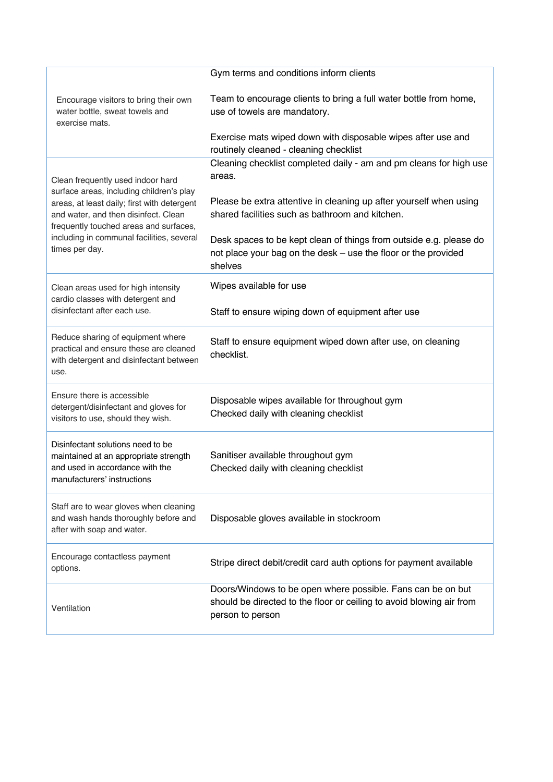|                                                                                                                                                                                                                                                                               | Gym terms and conditions inform clients                                                                                                                           |
|-------------------------------------------------------------------------------------------------------------------------------------------------------------------------------------------------------------------------------------------------------------------------------|-------------------------------------------------------------------------------------------------------------------------------------------------------------------|
| Encourage visitors to bring their own<br>water bottle, sweat towels and<br>exercise mats.                                                                                                                                                                                     | Team to encourage clients to bring a full water bottle from home,<br>use of towels are mandatory.<br>Exercise mats wiped down with disposable wipes after use and |
|                                                                                                                                                                                                                                                                               | routinely cleaned - cleaning checklist                                                                                                                            |
| Clean frequently used indoor hard<br>surface areas, including children's play<br>areas, at least daily; first with detergent<br>and water, and then disinfect. Clean<br>frequently touched areas and surfaces,<br>including in communal facilities, several<br>times per day. | Cleaning checklist completed daily - am and pm cleans for high use<br>areas.                                                                                      |
|                                                                                                                                                                                                                                                                               | Please be extra attentive in cleaning up after yourself when using<br>shared facilities such as bathroom and kitchen.                                             |
|                                                                                                                                                                                                                                                                               | Desk spaces to be kept clean of things from outside e.g. please do<br>not place your bag on the desk – use the floor or the provided<br>shelves                   |
| Clean areas used for high intensity<br>cardio classes with detergent and                                                                                                                                                                                                      | Wipes available for use                                                                                                                                           |
| disinfectant after each use.                                                                                                                                                                                                                                                  | Staff to ensure wiping down of equipment after use                                                                                                                |
| Reduce sharing of equipment where<br>practical and ensure these are cleaned<br>with detergent and disinfectant between<br>use.                                                                                                                                                | Staff to ensure equipment wiped down after use, on cleaning<br>checklist.                                                                                         |
| Ensure there is accessible<br>detergent/disinfectant and gloves for<br>visitors to use, should they wish.                                                                                                                                                                     | Disposable wipes available for throughout gym<br>Checked daily with cleaning checklist                                                                            |
| Disinfectant solutions need to be<br>maintained at an appropriate strength<br>and used in accordance with the<br>manufacturers' instructions                                                                                                                                  | Sanitiser available throughout gym<br>Checked daily with cleaning checklist                                                                                       |
| Staff are to wear gloves when cleaning<br>and wash hands thoroughly before and<br>after with soap and water.                                                                                                                                                                  | Disposable gloves available in stockroom                                                                                                                          |
| Encourage contactless payment<br>options.                                                                                                                                                                                                                                     | Stripe direct debit/credit card auth options for payment available                                                                                                |
| Ventilation                                                                                                                                                                                                                                                                   | Doors/Windows to be open where possible. Fans can be on but<br>should be directed to the floor or ceiling to avoid blowing air from<br>person to person           |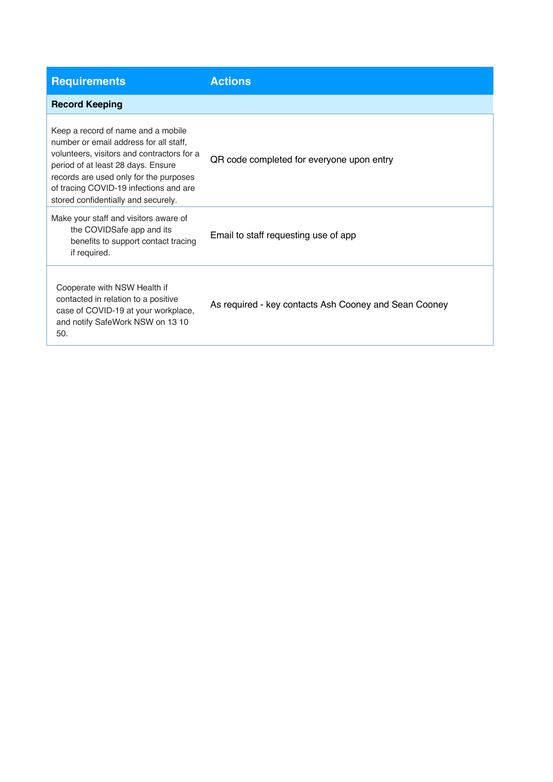| <b>Requirements</b>                                                                                                                                                                                                                                                                         | <b>Actions</b>                                        |
|---------------------------------------------------------------------------------------------------------------------------------------------------------------------------------------------------------------------------------------------------------------------------------------------|-------------------------------------------------------|
| <b>Record Keeping</b>                                                                                                                                                                                                                                                                       |                                                       |
| Keep a record of name and a mobile<br>number or email address for all staff.<br>volunteers, visitors and contractors for a<br>period of at least 28 days. Ensure<br>records are used only for the purposes<br>of tracing COVID-19 infections and are<br>stored confidentially and securely. | QR code completed for everyone upon entry             |
| Make your staff and visitors aware of<br>the COVIDSafe app and its<br>benefits to support contact tracing<br>if required.                                                                                                                                                                   | Email to staff requesting use of app                  |
| Cooperate with NSW Health if<br>contacted in relation to a positive<br>case of COVID-19 at your workplace,<br>and notify SafeWork NSW on 13 10<br>50.                                                                                                                                       | As required - key contacts Ash Cooney and Sean Cooney |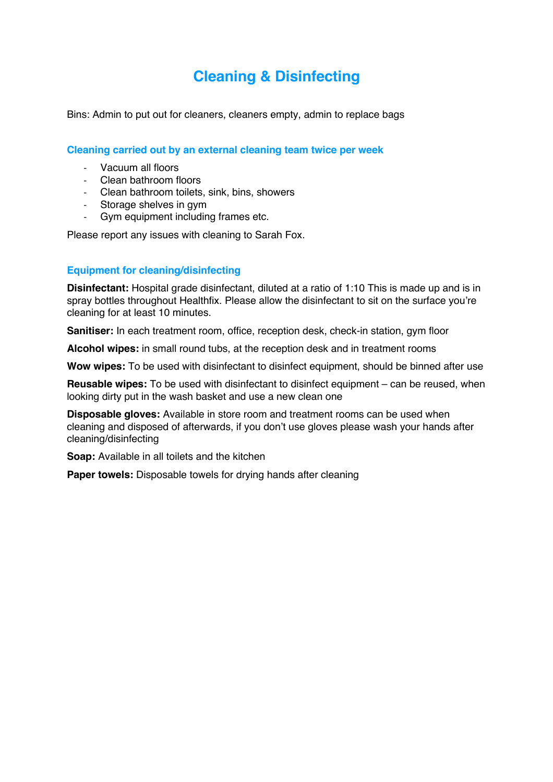### **Cleaning & Disinfecting**

Bins: Admin to put out for cleaners, cleaners empty, admin to replace bags

**Cleaning carried out by an external cleaning team twice per week**

- Vacuum all floors
- Clean bathroom floors
- Clean bathroom toilets, sink, bins, showers
- Storage shelves in gym
- Gym equipment including frames etc.

Please report any issues with cleaning to Sarah Fox.

#### **Equipment for cleaning/disinfecting**

**Disinfectant:** Hospital grade disinfectant, diluted at a ratio of 1:10 This is made up and is in spray bottles throughout Healthfix. Please allow the disinfectant to sit on the surface you're cleaning for at least 10 minutes.

**Sanitiser:** In each treatment room, office, reception desk, check-in station, gym floor

**Alcohol wipes:** in small round tubs, at the reception desk and in treatment rooms

Wow wipes: To be used with disinfectant to disinfect equipment, should be binned after use

**Reusable wipes:** To be used with disinfectant to disinfect equipment – can be reused, when looking dirty put in the wash basket and use a new clean one

**Disposable gloves:** Available in store room and treatment rooms can be used when cleaning and disposed of afterwards, if you don't use gloves please wash your hands after cleaning/disinfecting

**Soap:** Available in all toilets and the kitchen

**Paper towels:** Disposable towels for drying hands after cleaning